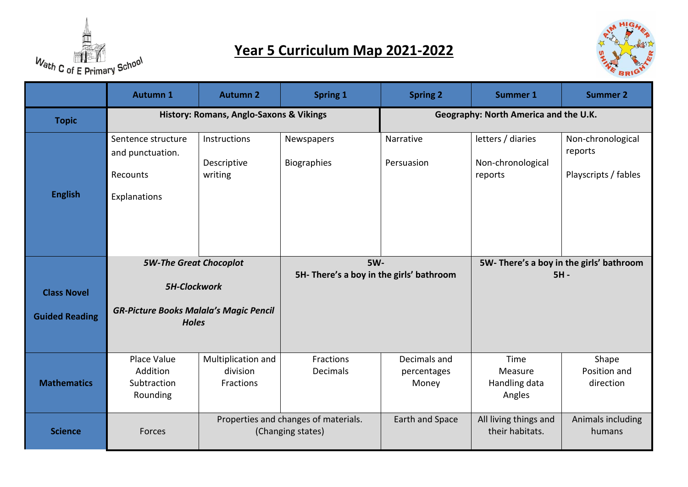

## **Year 5 Curriculum Map 2021-2022**



|                       | <b>Autumn 1</b>                                                                                                       | <b>Autumn 2</b>                                           | <b>Spring 1</b>                                        | <b>Spring 2</b>                      | <b>Summer 1</b>                                   | <b>Summer 2</b>                                      |
|-----------------------|-----------------------------------------------------------------------------------------------------------------------|-----------------------------------------------------------|--------------------------------------------------------|--------------------------------------|---------------------------------------------------|------------------------------------------------------|
| <b>Topic</b>          |                                                                                                                       | <b>History: Romans, Anglo-Saxons &amp; Vikings</b>        |                                                        |                                      | Geography: North America and the U.K.             |                                                      |
|                       | Sentence structure<br>and punctuation.<br>Recounts                                                                    | Instructions<br>Descriptive<br>writing                    | Newspapers<br>Biographies                              | Narrative<br>Persuasion              | letters / diaries<br>Non-chronological<br>reports | Non-chronological<br>reports<br>Playscripts / fables |
| <b>English</b>        | Explanations                                                                                                          |                                                           |                                                        |                                      |                                                   |                                                      |
| <b>Class Novel</b>    | <b>5W-The Great Chocoplot</b><br><b>5H-Clockwork</b><br><b>GR-Picture Books Malala's Magic Pencil</b><br><b>Holes</b> |                                                           | <b>5W-</b><br>5H- There's a boy in the girls' bathroom |                                      | 5W-There's a boy in the girls' bathroom<br>$5H -$ |                                                      |
| <b>Guided Reading</b> |                                                                                                                       |                                                           |                                                        |                                      |                                                   |                                                      |
| <b>Mathematics</b>    | Place Value<br>Addition<br>Subtraction<br>Rounding                                                                    | Multiplication and<br>division<br>Fractions               | Fractions<br>Decimals                                  | Decimals and<br>percentages<br>Money | Time<br>Measure<br>Handling data<br>Angles        | Shape<br>Position and<br>direction                   |
| <b>Science</b>        | Forces                                                                                                                | Properties and changes of materials.<br>(Changing states) |                                                        | Earth and Space                      | All living things and<br>their habitats.          | Animals including<br>humans                          |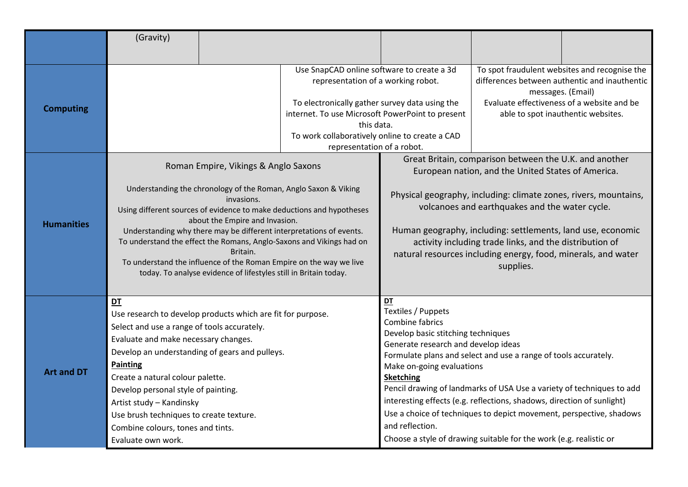|                                       | (Gravity)                                                                                                                                                                                                                                                                                                                                                                                                                                  |  |                                                                                                                                                                                                                                                                                      |                                                                                                                                                                                                                                                                                                                                                                                                                                                                                                                                                                 |                                                                                                                                                                                                                                                                                                                                                                                                                                               |  |
|---------------------------------------|--------------------------------------------------------------------------------------------------------------------------------------------------------------------------------------------------------------------------------------------------------------------------------------------------------------------------------------------------------------------------------------------------------------------------------------------|--|--------------------------------------------------------------------------------------------------------------------------------------------------------------------------------------------------------------------------------------------------------------------------------------|-----------------------------------------------------------------------------------------------------------------------------------------------------------------------------------------------------------------------------------------------------------------------------------------------------------------------------------------------------------------------------------------------------------------------------------------------------------------------------------------------------------------------------------------------------------------|-----------------------------------------------------------------------------------------------------------------------------------------------------------------------------------------------------------------------------------------------------------------------------------------------------------------------------------------------------------------------------------------------------------------------------------------------|--|
| <b>Computing</b><br><b>Humanities</b> | Roman Empire, Vikings & Anglo Saxons<br>Understanding the chronology of the Roman, Anglo Saxon & Viking<br>invasions.<br>Using different sources of evidence to make deductions and hypotheses<br>about the Empire and Invasion.                                                                                                                                                                                                           |  | Use SnapCAD online software to create a 3d<br>representation of a working robot.<br>To electronically gather survey data using the<br>internet. To use Microsoft PowerPoint to present<br>this data.<br>To work collaboratively online to create a CAD<br>representation of a robot. |                                                                                                                                                                                                                                                                                                                                                                                                                                                                                                                                                                 | To spot fraudulent websites and recognise the<br>differences between authentic and inauthentic<br>messages. (Email)<br>Evaluate effectiveness of a website and be<br>able to spot inauthentic websites.<br>Great Britain, comparison between the U.K. and another<br>European nation, and the United States of America.<br>Physical geography, including: climate zones, rivers, mountains,<br>volcanoes and earthquakes and the water cycle. |  |
|                                       | Understanding why there may be different interpretations of events.<br>To understand the effect the Romans, Anglo-Saxons and Vikings had on<br>Britain.<br>To understand the influence of the Roman Empire on the way we live<br>today. To analyse evidence of lifestyles still in Britain today.                                                                                                                                          |  |                                                                                                                                                                                                                                                                                      | Human geography, including: settlements, land use, economic<br>activity including trade links, and the distribution of<br>natural resources including energy, food, minerals, and water<br>supplies.                                                                                                                                                                                                                                                                                                                                                            |                                                                                                                                                                                                                                                                                                                                                                                                                                               |  |
| <b>Art and DT</b>                     | DT<br>Use research to develop products which are fit for purpose.<br>Select and use a range of tools accurately.<br>Evaluate and make necessary changes.<br>Develop an understanding of gears and pulleys.<br><b>Painting</b><br>Create a natural colour palette.<br>Develop personal style of painting.<br>Artist study - Kandinsky<br>Use brush techniques to create texture.<br>Combine colours, tones and tints.<br>Evaluate own work. |  |                                                                                                                                                                                                                                                                                      | DT<br>Textiles / Puppets<br>Combine fabrics<br>Develop basic stitching techniques<br>Generate research and develop ideas<br>Formulate plans and select and use a range of tools accurately.<br>Make on-going evaluations<br><b>Sketching</b><br>Pencil drawing of landmarks of USA Use a variety of techniques to add<br>interesting effects (e.g. reflections, shadows, direction of sunlight)<br>Use a choice of techniques to depict movement, perspective, shadows<br>and reflection.<br>Choose a style of drawing suitable for the work (e.g. realistic or |                                                                                                                                                                                                                                                                                                                                                                                                                                               |  |